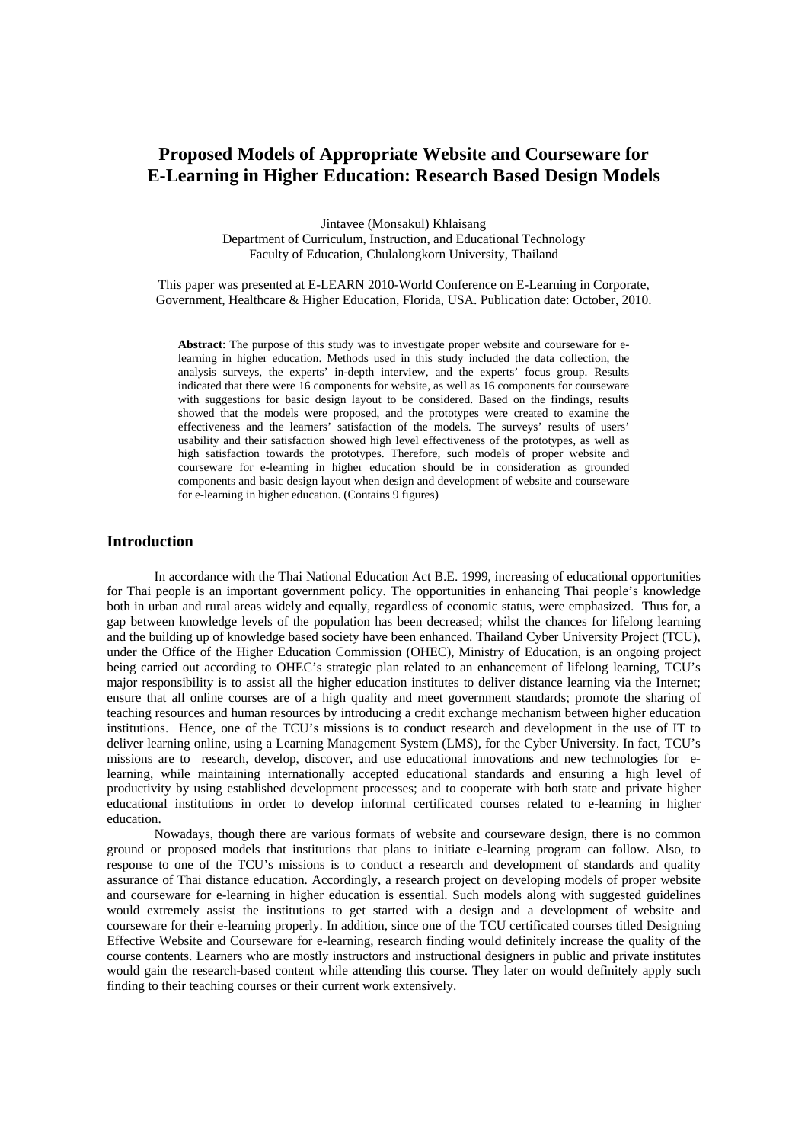# **Proposed Models of Appropriate Website and Courseware for E-Learning in Higher Education: Research Based Design Models**

Jintavee (Monsakul) Khlaisang Department of Curriculum, Instruction, and Educational Technology Faculty of Education, Chulalongkorn University, Thailand

This paper was presented at E-LEARN 2010-World Conference on E-Learning in Corporate, Government, Healthcare & Higher Education, Florida, USA. Publication date: October, 2010.

**Abstract**: The purpose of this study was to investigate proper website and courseware for elearning in higher education. Methods used in this study included the data collection, the analysis surveys, the experts' in-depth interview, and the experts' focus group. Results indicated that there were 16 components for website, as well as 16 components for courseware with suggestions for basic design layout to be considered. Based on the findings, results showed that the models were proposed, and the prototypes were created to examine the effectiveness and the learners' satisfaction of the models. The surveys' results of users' usability and their satisfaction showed high level effectiveness of the prototypes, as well as high satisfaction towards the prototypes. Therefore, such models of proper website and courseware for e-learning in higher education should be in consideration as grounded components and basic design layout when design and development of website and courseware for e-learning in higher education. (Contains 9 figures)

# **Introduction**

 In accordance with the Thai National Education Act B.E. 1999, increasing of educational opportunities for Thai people is an important government policy. The opportunities in enhancing Thai people's knowledge both in urban and rural areas widely and equally, regardless of economic status, were emphasized. Thus for, a gap between knowledge levels of the population has been decreased; whilst the chances for lifelong learning and the building up of knowledge based society have been enhanced. Thailand Cyber University Project (TCU), under the Office of the Higher Education Commission (OHEC), Ministry of Education, is an ongoing project being carried out according to OHEC's strategic plan related to an enhancement of lifelong learning, TCU's major responsibility is to assist all the higher education institutes to deliver distance learning via the Internet; ensure that all online courses are of a high quality and meet government standards; promote the sharing of teaching resources and human resources by introducing a credit exchange mechanism between higher education institutions. Hence, one of the TCU's missions is to conduct research and development in the use of IT to deliver learning online, using a Learning Management System (LMS), for the Cyber University. In fact, TCU's missions are to research, develop, discover, and use educational innovations and new technologies for elearning, while maintaining internationally accepted educational standards and ensuring a high level of productivity by using established development processes; and to cooperate with both state and private higher educational institutions in order to develop informal certificated courses related to e-learning in higher education.

Nowadays, though there are various formats of website and courseware design, there is no common ground or proposed models that institutions that plans to initiate e-learning program can follow. Also, to response to one of the TCU's missions is to conduct a research and development of standards and quality assurance of Thai distance education. Accordingly, a research project on developing models of proper website and courseware for e-learning in higher education is essential. Such models along with suggested guidelines would extremely assist the institutions to get started with a design and a development of website and courseware for their e-learning properly. In addition, since one of the TCU certificated courses titled Designing Effective Website and Courseware for e-learning, research finding would definitely increase the quality of the course contents. Learners who are mostly instructors and instructional designers in public and private institutes would gain the research-based content while attending this course. They later on would definitely apply such finding to their teaching courses or their current work extensively.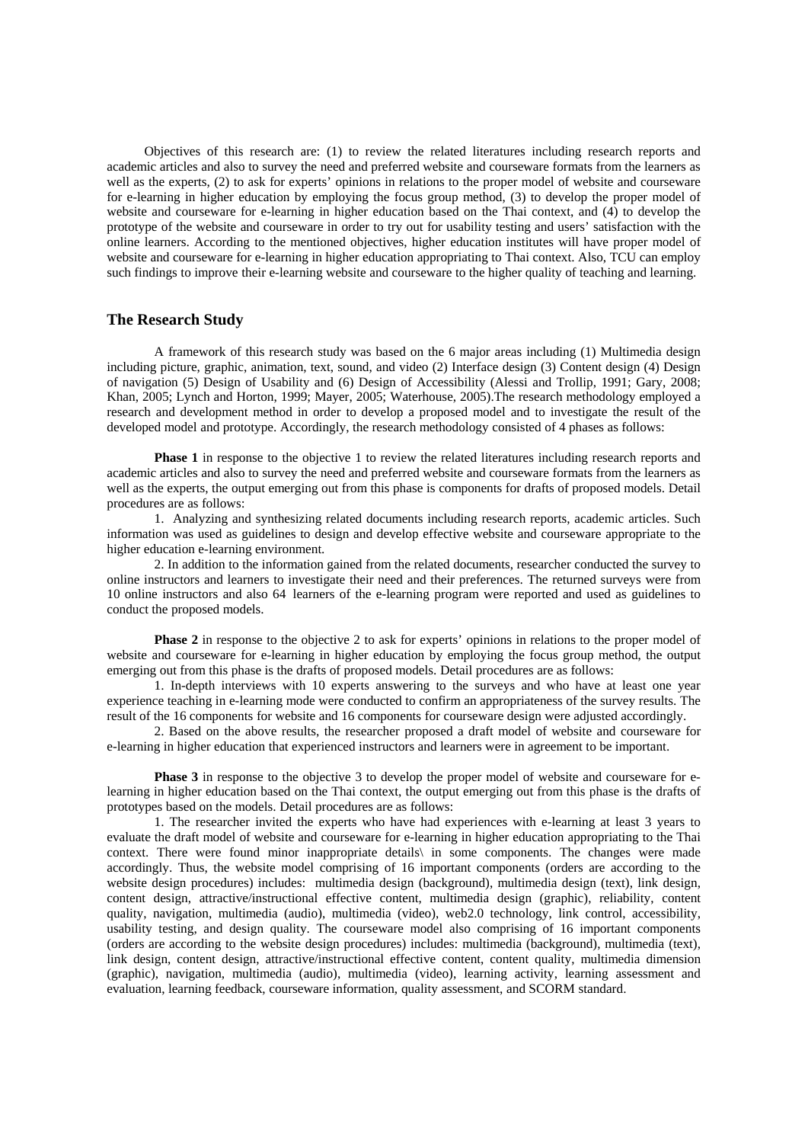Objectives of this research are: (1) to review the related literatures including research reports and academic articles and also to survey the need and preferred website and courseware formats from the learners as well as the experts, (2) to ask for experts' opinions in relations to the proper model of website and courseware for e-learning in higher education by employing the focus group method, (3) to develop the proper model of website and courseware for e-learning in higher education based on the Thai context, and (4) to develop the prototype of the website and courseware in order to try out for usability testing and users' satisfaction with the online learners. According to the mentioned objectives, higher education institutes will have proper model of website and courseware for e-learning in higher education appropriating to Thai context. Also, TCU can employ such findings to improve their e-learning website and courseware to the higher quality of teaching and learning.

# **The Research Study**

 A framework of this research study was based on the 6 major areas including (1) Multimedia design including picture, graphic, animation, text, sound, and video (2) Interface design (3) Content design (4) Design of navigation (5) Design of Usability and (6) Design of Accessibility (Alessi and Trollip, 1991; Gary, 2008; Khan, 2005; Lynch and Horton, 1999; Mayer, 2005; Waterhouse, 2005).The research methodology employed a research and development method in order to develop a proposed model and to investigate the result of the developed model and prototype. Accordingly, the research methodology consisted of 4 phases as follows:

**Phase 1** in response to the objective 1 to review the related literatures including research reports and academic articles and also to survey the need and preferred website and courseware formats from the learners as well as the experts, the output emerging out from this phase is components for drafts of proposed models. Detail procedures are as follows:

 1. Analyzing and synthesizing related documents including research reports, academic articles. Such information was used as guidelines to design and develop effective website and courseware appropriate to the higher education e-learning environment.

 2. In addition to the information gained from the related documents, researcher conducted the survey to online instructors and learners to investigate their need and their preferences. The returned surveys were from 10 online instructors and also 64 learners of the e-learning program were reported and used as guidelines to conduct the proposed models.

**Phase 2** in response to the objective 2 to ask for experts' opinions in relations to the proper model of website and courseware for e-learning in higher education by employing the focus group method, the output emerging out from this phase is the drafts of proposed models. Detail procedures are as follows:

 1. In-depth interviews with 10 experts answering to the surveys and who have at least one year experience teaching in e-learning mode were conducted to confirm an appropriateness of the survey results. The result of the 16 components for website and 16 components for courseware design were adjusted accordingly.

 2. Based on the above results, the researcher proposed a draft model of website and courseware for e-learning in higher education that experienced instructors and learners were in agreement to be important.

**Phase 3** in response to the objective 3 to develop the proper model of website and courseware for elearning in higher education based on the Thai context, the output emerging out from this phase is the drafts of prototypes based on the models. Detail procedures are as follows:

 1. The researcher invited the experts who have had experiences with e-learning at least 3 years to evaluate the draft model of website and courseware for e-learning in higher education appropriating to the Thai context. There were found minor inappropriate details\ in some components. The changes were made accordingly. Thus, the website model comprising of 16 important components (orders are according to the website design procedures) includes: multimedia design (background), multimedia design (text), link design, content design, attractive/instructional effective content, multimedia design (graphic), reliability, content quality, navigation, multimedia (audio), multimedia (video), web2.0 technology, link control, accessibility, usability testing, and design quality. The courseware model also comprising of 16 important components (orders are according to the website design procedures) includes: multimedia (background), multimedia (text), link design, content design, attractive/instructional effective content, content quality, multimedia dimension (graphic), navigation, multimedia (audio), multimedia (video), learning activity, learning assessment and evaluation, learning feedback, courseware information, quality assessment, and SCORM standard.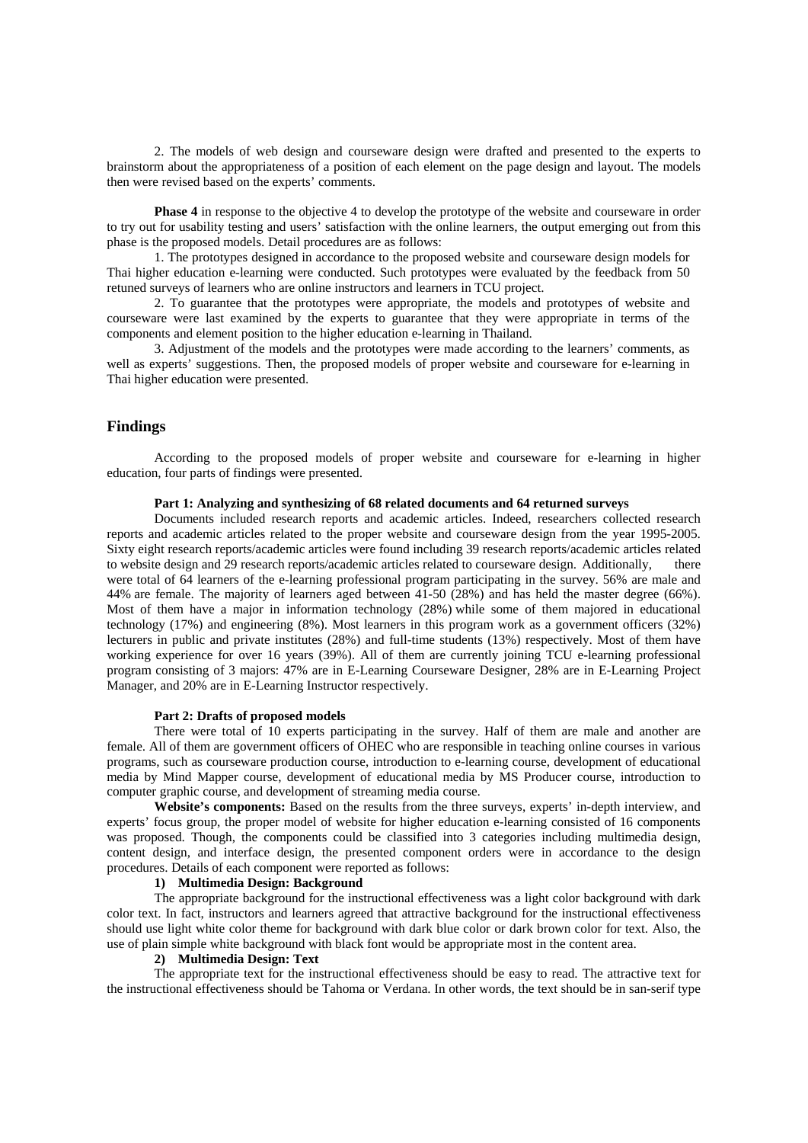2. The models of web design and courseware design were drafted and presented to the experts to brainstorm about the appropriateness of a position of each element on the page design and layout. The models then were revised based on the experts' comments.

**Phase 4** in response to the objective 4 to develop the prototype of the website and courseware in order to try out for usability testing and users' satisfaction with the online learners, the output emerging out from this phase is the proposed models. Detail procedures are as follows:

1. The prototypes designed in accordance to the proposed website and courseware design models for Thai higher education e-learning were conducted. Such prototypes were evaluated by the feedback from 50 retuned surveys of learners who are online instructors and learners in TCU project.

2. To guarantee that the prototypes were appropriate, the models and prototypes of website and courseware were last examined by the experts to guarantee that they were appropriate in terms of the components and element position to the higher education e-learning in Thailand.

3. Adjustment of the models and the prototypes were made according to the learners' comments, as well as experts' suggestions. Then, the proposed models of proper website and courseware for e-learning in Thai higher education were presented.

# **Findings**

 According to the proposed models of proper website and courseware for e-learning in higher education, four parts of findings were presented.

#### **Part 1: Analyzing and synthesizing of 68 related documents and 64 returned surveys**

 Documents included research reports and academic articles. Indeed, researchers collected research reports and academic articles related to the proper website and courseware design from the year 1995-2005. Sixty eight research reports/academic articles were found including 39 research reports/academic articles related to website design and 29 research reports/academic articles related to courseware design. Additionally, there were total of 64 learners of the e-learning professional program participating in the survey. 56% are male and 44% are female. The majority of learners aged between 41-50 (28%) and has held the master degree (66%). Most of them have a major in information technology (28%) while some of them majored in educational technology (17%) and engineering (8%). Most learners in this program work as a government officers (32%) lecturers in public and private institutes (28%) and full-time students (13%) respectively. Most of them have working experience for over 16 years (39%). All of them are currently joining TCU e-learning professional program consisting of 3 majors: 47% are in E-Learning Courseware Designer, 28% are in E-Learning Project Manager, and 20% are in E-Learning Instructor respectively.

#### **Part 2: Drafts of proposed models**

There were total of 10 experts participating in the survey. Half of them are male and another are female. All of them are government officers of OHEC who are responsible in teaching online courses in various programs, such as courseware production course, introduction to e-learning course, development of educational media by Mind Mapper course, development of educational media by MS Producer course, introduction to computer graphic course, and development of streaming media course.

**Website's components:** Based on the results from the three surveys, experts' in-depth interview, and experts' focus group, the proper model of website for higher education e-learning consisted of 16 components was proposed. Though, the components could be classified into 3 categories including multimedia design, content design, and interface design, the presented component orders were in accordance to the design procedures. Details of each component were reported as follows:

#### **1) Multimedia Design: Background**

The appropriate background for the instructional effectiveness was a light color background with dark color text. In fact, instructors and learners agreed that attractive background for the instructional effectiveness should use light white color theme for background with dark blue color or dark brown color for text. Also, the use of plain simple white background with black font would be appropriate most in the content area.

#### **2) Multimedia Design: Text**

The appropriate text for the instructional effectiveness should be easy to read. The attractive text for the instructional effectiveness should be Tahoma or Verdana. In other words, the text should be in san-serif type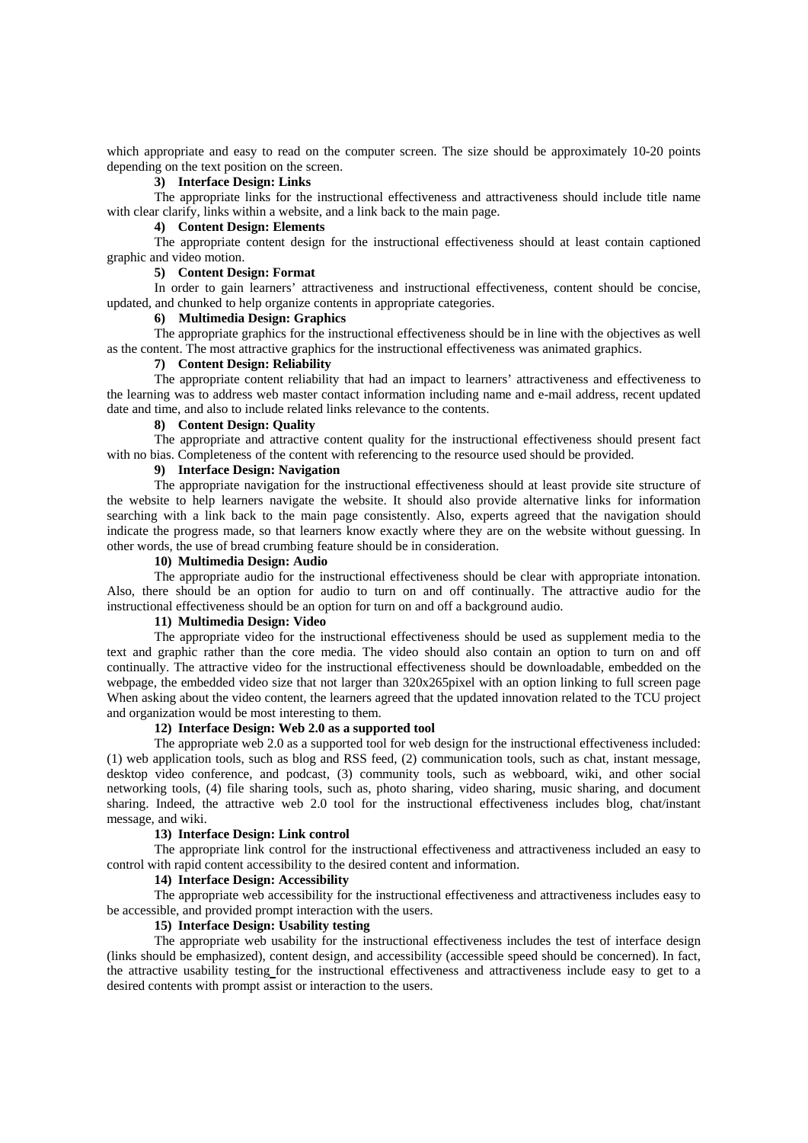which appropriate and easy to read on the computer screen. The size should be approximately 10-20 points depending on the text position on the screen.

#### **3) Interface Design: Links**

The appropriate links for the instructional effectiveness and attractiveness should include title name with clear clarify, links within a website, and a link back to the main page.

### **4) Content Design: Elements**

The appropriate content design for the instructional effectiveness should at least contain captioned graphic and video motion.

#### **5) Content Design: Format**

In order to gain learners' attractiveness and instructional effectiveness, content should be concise, updated, and chunked to help organize contents in appropriate categories.

#### **6) Multimedia Design: Graphics**

The appropriate graphics for the instructional effectiveness should be in line with the objectives as well as the content. The most attractive graphics for the instructional effectiveness was animated graphics.

#### **7) Content Design: Reliability**

The appropriate content reliability that had an impact to learners' attractiveness and effectiveness to the learning was to address web master contact information including name and e-mail address, recent updated date and time, and also to include related links relevance to the contents.

# **8) Content Design: Quality**

The appropriate and attractive content quality for the instructional effectiveness should present fact with no bias. Completeness of the content with referencing to the resource used should be provided.

# **9) Interface Design: Navigation**

The appropriate navigation for the instructional effectiveness should at least provide site structure of the website to help learners navigate the website. It should also provide alternative links for information searching with a link back to the main page consistently. Also, experts agreed that the navigation should indicate the progress made, so that learners know exactly where they are on the website without guessing. In other words, the use of bread crumbing feature should be in consideration.

#### **10) Multimedia Design: Audio**

The appropriate audio for the instructional effectiveness should be clear with appropriate intonation. Also, there should be an option for audio to turn on and off continually. The attractive audio for the instructional effectiveness should be an option for turn on and off a background audio.

#### **11) Multimedia Design: Video**

The appropriate video for the instructional effectiveness should be used as supplement media to the text and graphic rather than the core media. The video should also contain an option to turn on and off continually. The attractive video for the instructional effectiveness should be downloadable, embedded on the webpage, the embedded video size that not larger than 320x265pixel with an option linking to full screen page When asking about the video content, the learners agreed that the updated innovation related to the TCU project and organization would be most interesting to them.

#### **12) Interface Design: Web 2.0 as a supported tool**

The appropriate web 2.0 as a supported tool for web design for the instructional effectiveness included: (1) web application tools, such as blog and RSS feed, (2) communication tools, such as chat, instant message, desktop video conference, and podcast, (3) community tools, such as webboard, wiki, and other social networking tools, (4) file sharing tools, such as, photo sharing, video sharing, music sharing, and document sharing. Indeed, the attractive web 2.0 tool for the instructional effectiveness includes blog, chat/instant message, and wiki.

#### **13) Interface Design: Link control**

The appropriate link control for the instructional effectiveness and attractiveness included an easy to control with rapid content accessibility to the desired content and information.

#### **14) Interface Design: Accessibility**

The appropriate web accessibility for the instructional effectiveness and attractiveness includes easy to be accessible, and provided prompt interaction with the users.

#### **15) Interface Design: Usability testing**

The appropriate web usability for the instructional effectiveness includes the test of interface design (links should be emphasized), content design, and accessibility (accessible speed should be concerned). In fact, the attractive usability testing for the instructional effectiveness and attractiveness include easy to get to a desired contents with prompt assist or interaction to the users.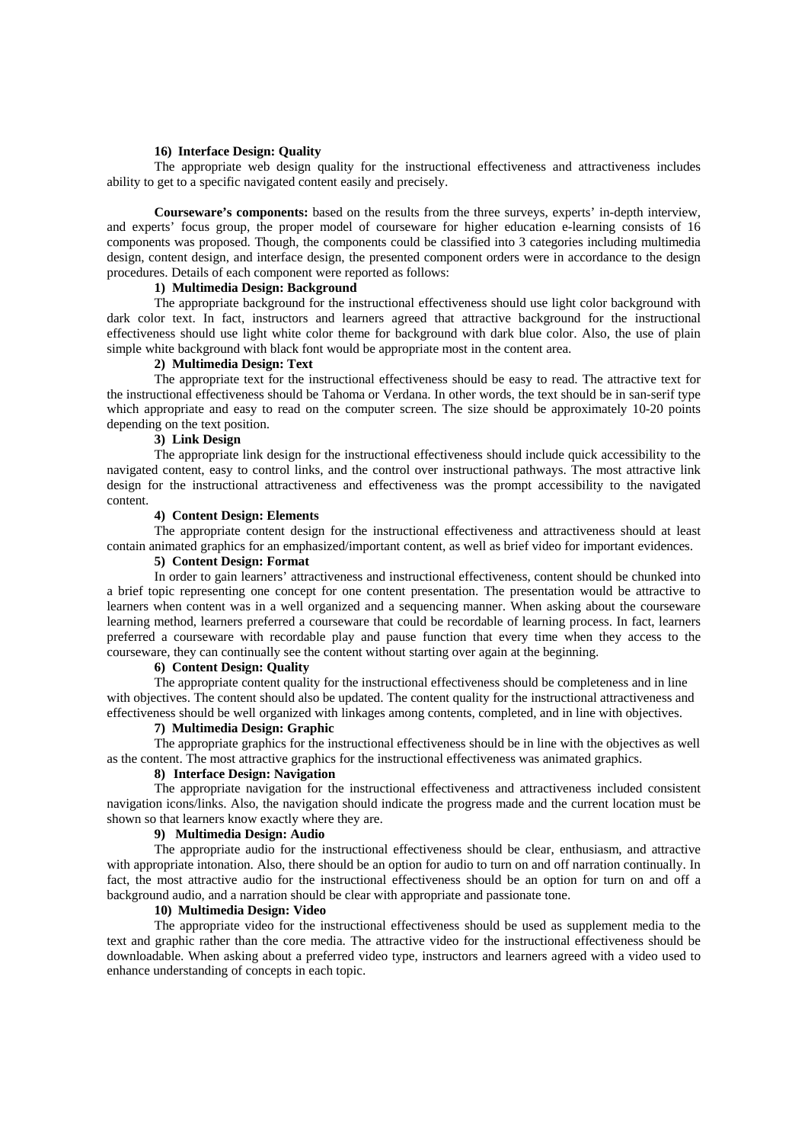#### **16) Interface Design: Quality**

The appropriate web design quality for the instructional effectiveness and attractiveness includes ability to get to a specific navigated content easily and precisely.

**Courseware's components:** based on the results from the three surveys, experts' in-depth interview, and experts' focus group, the proper model of courseware for higher education e-learning consists of 16 components was proposed. Though, the components could be classified into 3 categories including multimedia design, content design, and interface design, the presented component orders were in accordance to the design procedures. Details of each component were reported as follows:

### **1) Multimedia Design: Background**

The appropriate background for the instructional effectiveness should use light color background with dark color text. In fact, instructors and learners agreed that attractive background for the instructional effectiveness should use light white color theme for background with dark blue color. Also, the use of plain simple white background with black font would be appropriate most in the content area.

### **2) Multimedia Design: Text**

The appropriate text for the instructional effectiveness should be easy to read. The attractive text for the instructional effectiveness should be Tahoma or Verdana. In other words, the text should be in san-serif type which appropriate and easy to read on the computer screen. The size should be approximately 10-20 points depending on the text position.

### **3) Link Design**

The appropriate link design for the instructional effectiveness should include quick accessibility to the navigated content, easy to control links, and the control over instructional pathways. The most attractive link design for the instructional attractiveness and effectiveness was the prompt accessibility to the navigated content.

### **4) Content Design: Elements**

The appropriate content design for the instructional effectiveness and attractiveness should at least contain animated graphics for an emphasized/important content, as well as brief video for important evidences.

### **5) Content Design: Format**

In order to gain learners' attractiveness and instructional effectiveness, content should be chunked into a brief topic representing one concept for one content presentation. The presentation would be attractive to learners when content was in a well organized and a sequencing manner. When asking about the courseware learning method, learners preferred a courseware that could be recordable of learning process. In fact, learners preferred a courseware with recordable play and pause function that every time when they access to the courseware, they can continually see the content without starting over again at the beginning.

### **6) Content Design: Quality**

The appropriate content quality for the instructional effectiveness should be completeness and in line with objectives. The content should also be updated. The content quality for the instructional attractiveness and effectiveness should be well organized with linkages among contents, completed, and in line with objectives.

#### **7) Multimedia Design: Graphic**

The appropriate graphics for the instructional effectiveness should be in line with the objectives as well as the content. The most attractive graphics for the instructional effectiveness was animated graphics.

### **8) Interface Design: Navigation**

The appropriate navigation for the instructional effectiveness and attractiveness included consistent navigation icons/links. Also, the navigation should indicate the progress made and the current location must be shown so that learners know exactly where they are.

#### **9) Multimedia Design: Audio**

The appropriate audio for the instructional effectiveness should be clear, enthusiasm, and attractive with appropriate intonation. Also, there should be an option for audio to turn on and off narration continually. In fact, the most attractive audio for the instructional effectiveness should be an option for turn on and off a background audio, and a narration should be clear with appropriate and passionate tone.

#### **10) Multimedia Design: Video**

The appropriate video for the instructional effectiveness should be used as supplement media to the text and graphic rather than the core media. The attractive video for the instructional effectiveness should be downloadable. When asking about a preferred video type, instructors and learners agreed with a video used to enhance understanding of concepts in each topic.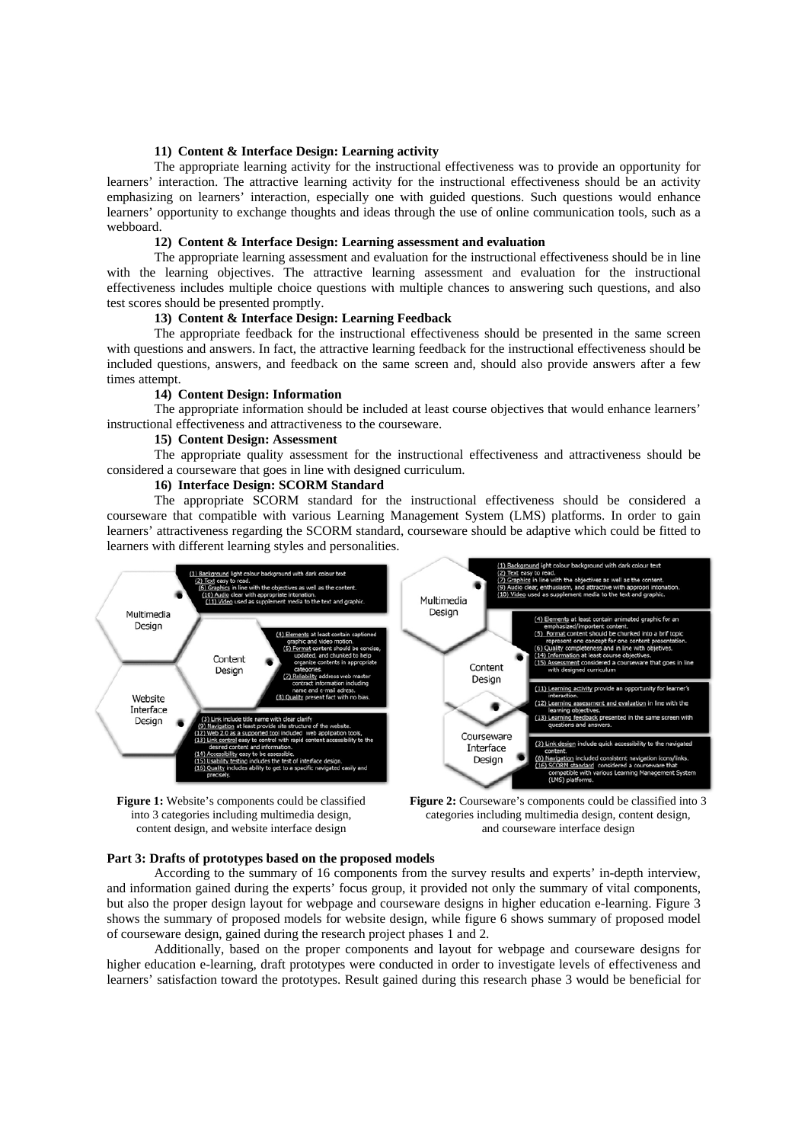#### **11) Content & Interface Design: Learning activity**

The appropriate learning activity for the instructional effectiveness was to provide an opportunity for learners' interaction. The attractive learning activity for the instructional effectiveness should be an activity emphasizing on learners' interaction, especially one with guided questions. Such questions would enhance learners' opportunity to exchange thoughts and ideas through the use of online communication tools, such as a webboard.

#### **12) Content & Interface Design: Learning assessment and evaluation**

The appropriate learning assessment and evaluation for the instructional effectiveness should be in line with the learning objectives. The attractive learning assessment and evaluation for the instructional effectiveness includes multiple choice questions with multiple chances to answering such questions, and also test scores should be presented promptly.

# **13) Content & Interface Design: Learning Feedback**

The appropriate feedback for the instructional effectiveness should be presented in the same screen with questions and answers. In fact, the attractive learning feedback for the instructional effectiveness should be included questions, answers, and feedback on the same screen and, should also provide answers after a few times attempt.

#### **14) Content Design: Information**

The appropriate information should be included at least course objectives that would enhance learners' instructional effectiveness and attractiveness to the courseware.

#### **15) Content Design: Assessment**

The appropriate quality assessment for the instructional effectiveness and attractiveness should be considered a courseware that goes in line with designed curriculum.

#### **16) Interface Design: SCORM Standard**

The appropriate SCORM standard for the instructional effectiveness should be considered a courseware that compatible with various Learning Management System (LMS) platforms. In order to gain learners' attractiveness regarding the SCORM standard, courseware should be adaptive which could be fitted to learners with different learning styles and personalities.



**Figure 1:** Website's components could be classified into 3 categories including multimedia design, content design, and website interface design



#### **Part 3: Drafts of prototypes based on the proposed models**

According to the summary of 16 components from the survey results and experts' in-depth interview, and information gained during the experts' focus group, it provided not only the summary of vital components, but also the proper design layout for webpage and courseware designs in higher education e-learning. Figure 3 shows the summary of proposed models for website design, while figure 6 shows summary of proposed model of courseware design, gained during the research project phases 1 and 2.

Additionally, based on the proper components and layout for webpage and courseware designs for higher education e-learning, draft prototypes were conducted in order to investigate levels of effectiveness and learners' satisfaction toward the prototypes. Result gained during this research phase 3 would be beneficial for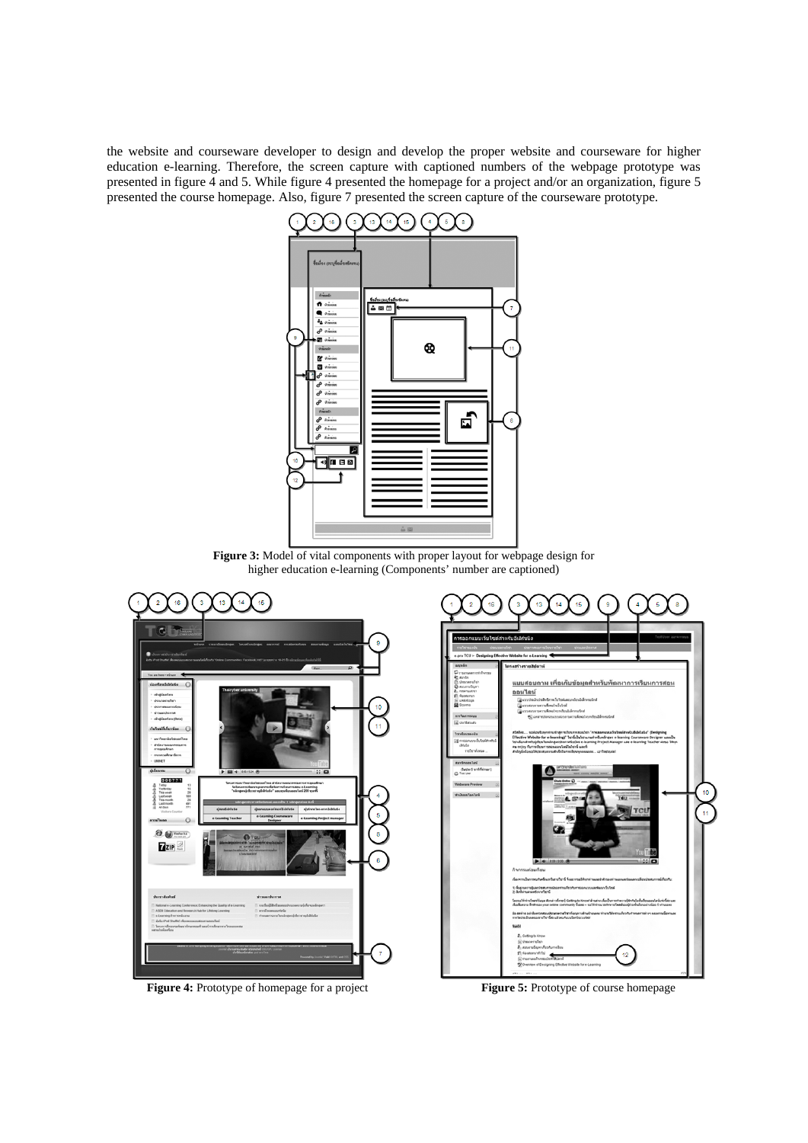the website and courseware developer to design and develop the proper website and courseware for higher education e-learning. Therefore, the screen capture with captioned numbers of the webpage prototype was presented in figure 4 and 5. While figure 4 presented the homepage for a project and/or an organization, figure 5 presented the course homepage. Also, figure 7 presented the screen capture of the courseware prototype.



**Figure 3:** Model of vital components with proper layout for webpage design for higher education e-learning (Components' number are captioned)





**Figure 4:** Prototype of homepage for a project **Figure 5:** Prototype of course homepage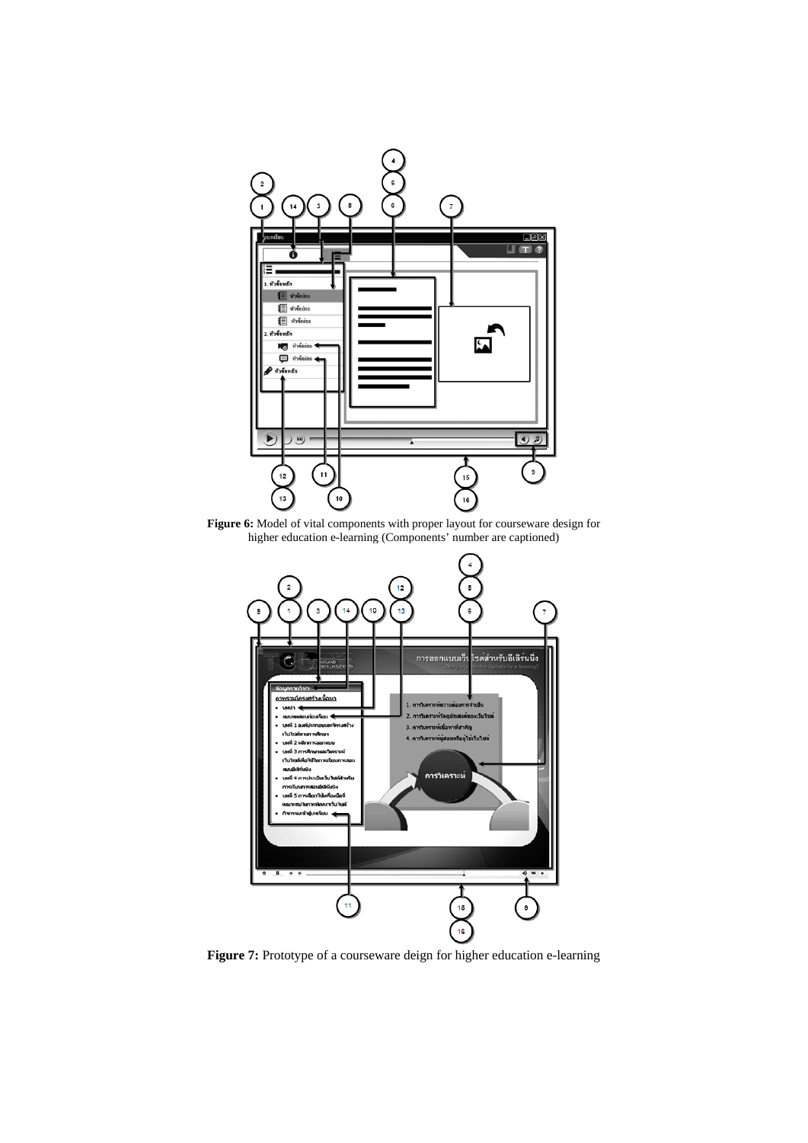

**Figure 6:** Model of vital components with proper layout for courseware design for higher education e-learning (Components' number are captioned)



**Figure 7:** Prototype of a courseware deign for higher education e-learning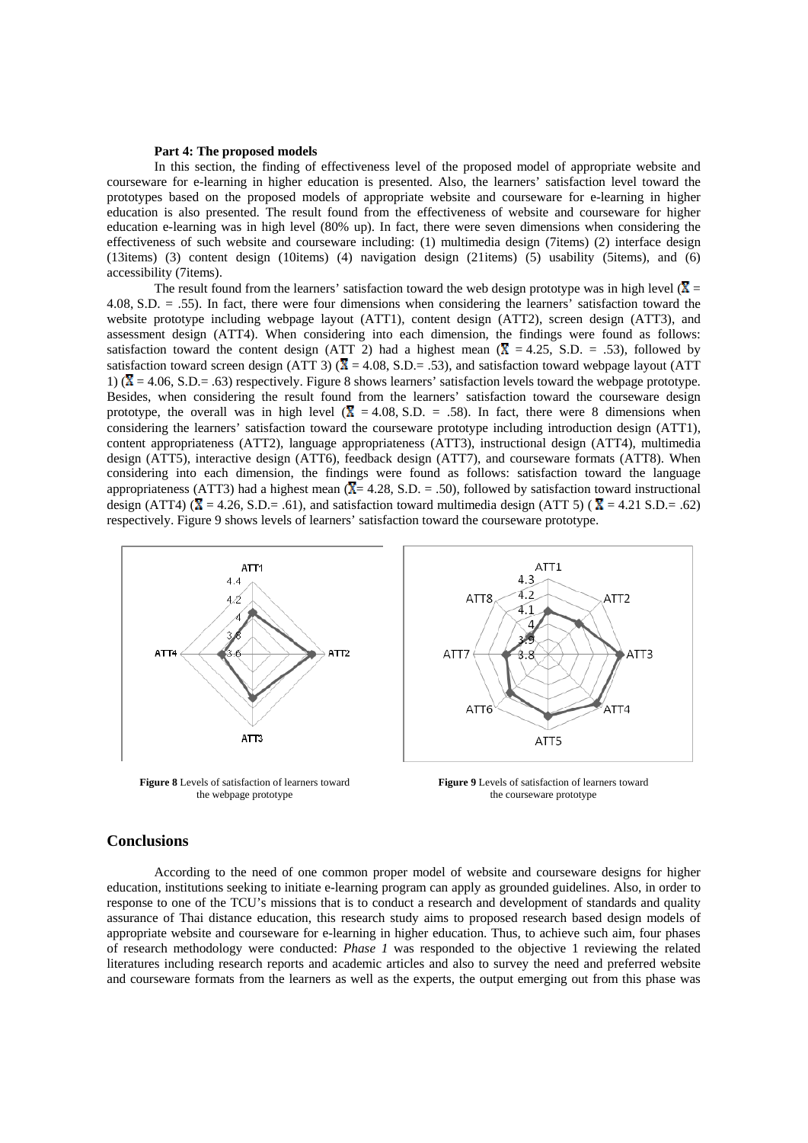#### **Part 4: The proposed models**

 In this section, the finding of effectiveness level of the proposed model of appropriate website and courseware for e-learning in higher education is presented. Also, the learners' satisfaction level toward the prototypes based on the proposed models of appropriate website and courseware for e-learning in higher education is also presented. The result found from the effectiveness of website and courseware for higher education e-learning was in high level (80% up). In fact, there were seven dimensions when considering the effectiveness of such website and courseware including: (1) multimedia design (7items) (2) interface design (13items) (3) content design (10items) (4) navigation design (21items) (5) usability (5items), and (6) accessibility (7items).

The result found from the learners' satisfaction toward the web design prototype was in high level ( $\overline{X}$  = 4.08, S.D. = .55). In fact, there were four dimensions when considering the learners' satisfaction toward the website prototype including webpage layout (ATT1), content design (ATT2), screen design (ATT3), and assessment design (ATT4). When considering into each dimension, the findings were found as follows: satisfaction toward the content design (ATT 2) had a highest mean ( $\bar{X} = 4.25$ , S.D. = .53), followed by satisfaction toward screen design (ATT 3) ( $\overline{X} = 4.08$ , S.D.= .53), and satisfaction toward webpage layout (ATT 1) ( $\overline{X}$  = 4.06, S.D.= .63) respectively. Figure 8 shows learners' satisfaction levels toward the webpage prototype. Besides, when considering the result found from the learners' satisfaction toward the courseware design prototype, the overall was in high level  $(\bar{X} = 4.08, S.D. = .58)$ . In fact, there were 8 dimensions when considering the learners' satisfaction toward the courseware prototype including introduction design (ATT1), content appropriateness (ATT2), language appropriateness (ATT3), instructional design (ATT4), multimedia design (ATT5), interactive design (ATT6), feedback design (ATT7), and courseware formats (ATT8). When considering into each dimension, the findings were found as follows: satisfaction toward the language appropriateness (ATT3) had a highest mean  $(\overline{X} = 4.28, S.D. = .50)$ , followed by satisfaction toward instructional design (ATT4) ( $\overline{X} = 4.26$ , S.D.= .61), and satisfaction toward multimedia design (ATT 5) ( $\overline{X} = 4.21$  S.D.= .62) respectively. Figure 9 shows levels of learners' satisfaction toward the courseware prototype.



**Figure 8** Levels of satisfaction of learners toward the webpage prototype

**Figure 9** Levels of satisfaction of learners toward the courseware prototype

### **Conclusions**

According to the need of one common proper model of website and courseware designs for higher education, institutions seeking to initiate e-learning program can apply as grounded guidelines. Also, in order to response to one of the TCU's missions that is to conduct a research and development of standards and quality assurance of Thai distance education, this research study aims to proposed research based design models of appropriate website and courseware for e-learning in higher education. Thus, to achieve such aim, four phases of research methodology were conducted: *Phase 1* was responded to the objective 1 reviewing the related literatures including research reports and academic articles and also to survey the need and preferred website and courseware formats from the learners as well as the experts, the output emerging out from this phase was